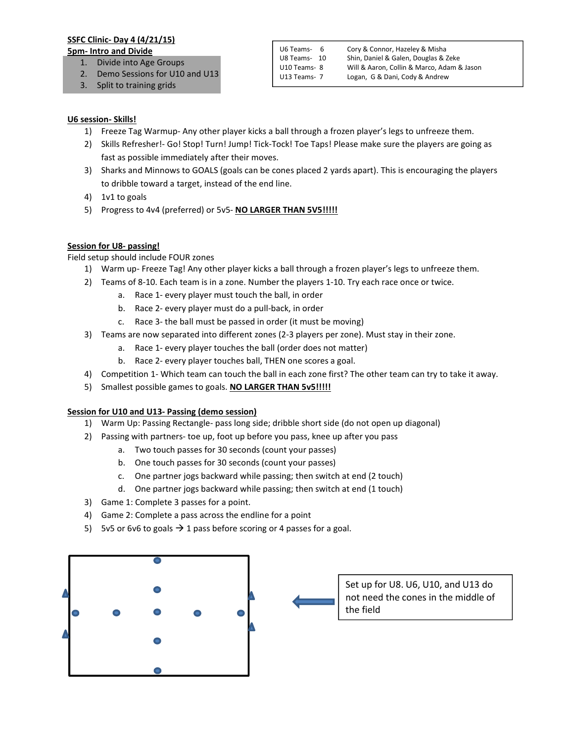# SSFC Clinic- Day 4 (4/21/15)

#### 5pm- Intro and Divide

- 1. Divide into Age Groups
- 2. Demo Sessions for U10 and U13
- 3. Split to training grids

U6 Teams- 6 Cory & Connor, Hazeley & Misha U8 Teams- 10 Shin, Daniel & Galen, Douglas & Zeke U10 Teams- 8 Will & Aaron, Collin & Marco, Adam & Jason U13 Teams- 7 Logan, G & Dani, Cody & Andrew

# U6 session- Skills!

- 1) Freeze Tag Warmup- Any other player kicks a ball through a frozen player's legs to unfreeze them.
- 2) Skills Refresher!- Go! Stop! Turn! Jump! Tick-Tock! Toe Taps! Please make sure the players are going as fast as possible immediately after their moves.
- 3) Sharks and Minnows to GOALS (goals can be cones placed 2 yards apart). This is encouraging the players to dribble toward a target, instead of the end line.
- 4) 1v1 to goals
- 5) Progress to 4v4 (preferred) or 5v5- NO LARGER THAN 5V5!!!!!

# Session for U8- passing!

# Field setup should include FOUR zones

- 1) Warm up- Freeze Tag! Any other player kicks a ball through a frozen player's legs to unfreeze them.
- 2) Teams of 8-10. Each team is in a zone. Number the players 1-10. Try each race once or twice.
	- a. Race 1- every player must touch the ball, in order
	- b. Race 2- every player must do a pull-back, in order
	- c. Race 3- the ball must be passed in order (it must be moving)
- 3) Teams are now separated into different zones (2-3 players per zone). Must stay in their zone.
	- a. Race 1- every player touches the ball (order does not matter)
	- b. Race 2- every player touches ball, THEN one scores a goal.
- 4) Competition 1- Which team can touch the ball in each zone first? The other team can try to take it away.
- 5) Smallest possible games to goals. NO LARGER THAN 5v5!!!!!

### Session for U10 and U13- Passing (demo session)

- 1) Warm Up: Passing Rectangle- pass long side; dribble short side (do not open up diagonal)
- 2) Passing with partners- toe up, foot up before you pass, knee up after you pass
	- a. Two touch passes for 30 seconds (count your passes)
	- b. One touch passes for 30 seconds (count your passes)
	- c. One partner jogs backward while passing; then switch at end (2 touch)
	- d. One partner jogs backward while passing; then switch at end (1 touch)
- 3) Game 1: Complete 3 passes for a point.
- 4) Game 2: Complete a pass across the endline for a point
- 5) 5v5 or 6v6 to goals  $\rightarrow$  1 pass before scoring or 4 passes for a goal.